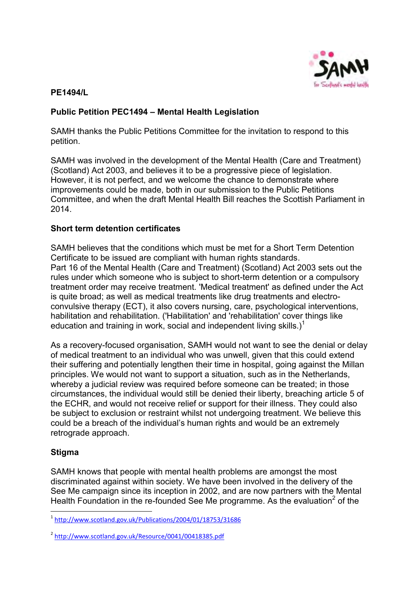

#### **PE1494/L**

# **Public Petition PEC1494 – Mental Health Legislation**

SAMH thanks the Public Petitions Committee for the invitation to respond to this petition.

SAMH was involved in the development of the Mental Health (Care and Treatment) (Scotland) Act 2003, and believes it to be a progressive piece of legislation. However, it is not perfect, and we welcome the chance to demonstrate where improvements could be made, both in our submission to the Public Petitions Committee, and when the draft Mental Health Bill reaches the Scottish Parliament in 2014.

#### **Short term detention certificates**

SAMH believes that the conditions which must be met for a Short Term Detention Certificate to be issued are compliant with human rights standards. Part 16 of the Mental Health (Care and Treatment) (Scotland) Act 2003 sets out the rules under which someone who is subject to short-term detention or a compulsory treatment order may receive treatment. 'Medical treatment' as defined under the Act is quite broad; as well as medical treatments like drug treatments and electroconvulsive therapy (ECT), it also covers nursing, care, psychological interventions, habilitation and rehabilitation. ('Habilitation' and 'rehabilitation' cover things like education and training in work, social and independent living skills.)<sup>1</sup>

As a recovery-focused organisation, SAMH would not want to see the denial or delay of medical treatment to an individual who was unwell, given that this could extend their suffering and potentially lengthen their time in hospital, going against the Millan principles. We would not want to support a situation, such as in the Netherlands, whereby a judicial review was required before someone can be treated; in those circumstances, the individual would still be denied their liberty, breaching article 5 of the ECHR, and would not receive relief or support for their illness. They could also be subject to exclusion or restraint whilst not undergoing treatment. We believe this could be a breach of the individual's human rights and would be an extremely retrograde approach.

# **Stigma**

1

SAMH knows that people with mental health problems are amongst the most discriminated against within society. We have been involved in the delivery of the See Me campaign since its inception in 2002, and are now partners with the Mental Health Foundation in the re-founded See Me programme. As the evaluation<sup>2</sup> of the

<sup>1</sup> <http://www.scotland.gov.uk/Publications/2004/01/18753/31686>

<sup>&</sup>lt;sup>2</sup> http://www.scotland.gov.uk/Resource/0041/00418385.pdf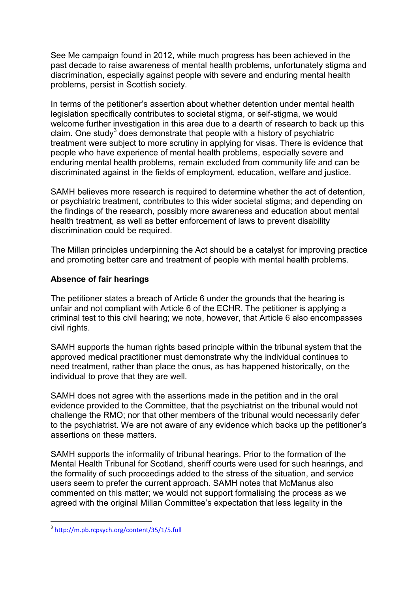See Me campaign found in 2012, while much progress has been achieved in the past decade to raise awareness of mental health problems, unfortunately stigma and discrimination, especially against people with severe and enduring mental health problems, persist in Scottish society.

In terms of the petitioner's assertion about whether detention under mental health legislation specifically contributes to societal stigma, or self-stigma, we would welcome further investigation in this area due to a dearth of research to back up this claim. One study<sup>3</sup> does demonstrate that people with a history of psychiatric treatment were subject to more scrutiny in applying for visas. There is evidence that people who have experience of mental health problems, especially severe and enduring mental health problems, remain excluded from community life and can be discriminated against in the fields of employment, education, welfare and justice.

SAMH believes more research is required to determine whether the act of detention, or psychiatric treatment, contributes to this wider societal stigma; and depending on the findings of the research, possibly more awareness and education about mental health treatment, as well as better enforcement of laws to prevent disability discrimination could be required.

The Millan principles underpinning the Act should be a catalyst for improving practice and promoting better care and treatment of people with mental health problems.

#### **Absence of fair hearings**

The petitioner states a breach of Article 6 under the grounds that the hearing is unfair and not compliant with Article 6 of the ECHR. The petitioner is applying a criminal test to this civil hearing; we note, however, that Article 6 also encompasses civil rights.

SAMH supports the human rights based principle within the tribunal system that the approved medical practitioner must demonstrate why the individual continues to need treatment, rather than place the onus, as has happened historically, on the individual to prove that they are well.

SAMH does not agree with the assertions made in the petition and in the oral evidence provided to the Committee, that the psychiatrist on the tribunal would not challenge the RMO; nor that other members of the tribunal would necessarily defer to the psychiatrist. We are not aware of any evidence which backs up the petitioner's assertions on these matters.

SAMH supports the informality of tribunal hearings. Prior to the formation of the Mental Health Tribunal for Scotland, sheriff courts were used for such hearings, and the formality of such proceedings added to the stress of the situation, and service users seem to prefer the current approach. SAMH notes that McManus also commented on this matter; we would not support formalising the process as we agreed with the original Millan Committee's expectation that less legality in the

1

<sup>&</sup>lt;sup>3</sup> http://m.pb.rcpsych.org/content/35/1/5.full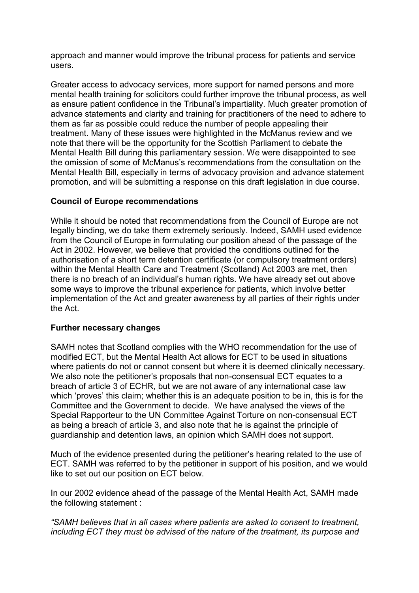approach and manner would improve the tribunal process for patients and service users.

Greater access to advocacy services, more support for named persons and more mental health training for solicitors could further improve the tribunal process, as well as ensure patient confidence in the Tribunal's impartiality. Much greater promotion of advance statements and clarity and training for practitioners of the need to adhere to them as far as possible could reduce the number of people appealing their treatment. Many of these issues were highlighted in the McManus review and we note that there will be the opportunity for the Scottish Parliament to debate the Mental Health Bill during this parliamentary session. We were disappointed to see the omission of some of McManus's recommendations from the consultation on the Mental Health Bill, especially in terms of advocacy provision and advance statement promotion, and will be submitting a response on this draft legislation in due course.

## **Council of Europe recommendations**

While it should be noted that recommendations from the Council of Europe are not legally binding, we do take them extremely seriously. Indeed, SAMH used evidence from the Council of Europe in formulating our position ahead of the passage of the Act in 2002. However, we believe that provided the conditions outlined for the authorisation of a short term detention certificate (or compulsory treatment orders) within the Mental Health Care and Treatment (Scotland) Act 2003 are met, then there is no breach of an individual's human rights. We have already set out above some ways to improve the tribunal experience for patients, which involve better implementation of the Act and greater awareness by all parties of their rights under the Act.

#### **Further necessary changes**

SAMH notes that Scotland complies with the WHO recommendation for the use of modified ECT, but the Mental Health Act allows for ECT to be used in situations where patients do not or cannot consent but where it is deemed clinically necessary. We also note the petitioner's proposals that non-consensual ECT equates to a breach of article 3 of ECHR, but we are not aware of any international case law which 'proves' this claim; whether this is an adequate position to be in, this is for the Committee and the Government to decide. We have analysed the views of the Special Rapporteur to the UN Committee Against Torture on non-consensual ECT as being a breach of article 3, and also note that he is against the principle of guardianship and detention laws, an opinion which SAMH does not support.

Much of the evidence presented during the petitioner's hearing related to the use of ECT. SAMH was referred to by the petitioner in support of his position, and we would like to set out our position on ECT below.

In our 2002 evidence ahead of the passage of the Mental Health Act, SAMH made the following statement :

*"SAMH believes that in all cases where patients are asked to consent to treatment, including ECT they must be advised of the nature of the treatment, its purpose and*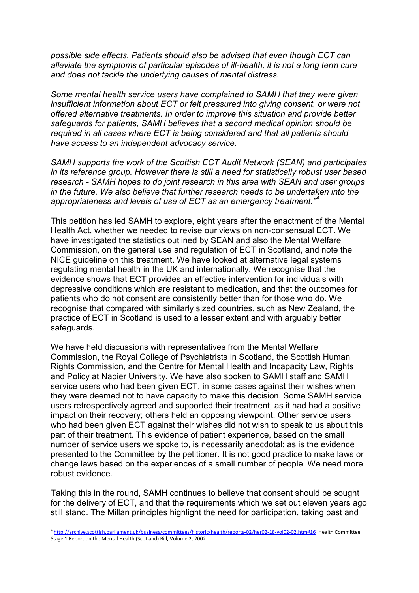*possible side effects. Patients should also be advised that even though ECT can alleviate the symptoms of particular episodes of ill-health, it is not a long term cure and does not tackle the underlying causes of mental distress.* 

*Some mental health service users have complained to SAMH that they were given insufficient information about ECT or felt pressured into giving consent, or were not offered alternative treatments. In order to improve this situation and provide better safeguards for patients, SAMH believes that a second medical opinion should be required in all cases where ECT is being considered and that all patients should have access to an independent advocacy service.* 

*SAMH supports the work of the Scottish ECT Audit Network (SEAN) and participates in its reference group. However there is still a need for statistically robust user based research - SAMH hopes to do joint research in this area with SEAN and user groups in the future. We also believe that further research needs to be undertaken into the appropriateness and levels of use of ECT as an emergency treatment."<sup>4</sup>*

This petition has led SAMH to explore, eight years after the enactment of the Mental Health Act, whether we needed to revise our views on non-consensual ECT. We have investigated the statistics outlined by SEAN and also the Mental Welfare Commission, on the general use and regulation of ECT in Scotland, and note the NICE guideline on this treatment. We have looked at alternative legal systems regulating mental health in the UK and internationally. We recognise that the evidence shows that ECT provides an effective intervention for individuals with depressive conditions which are resistant to medication, and that the outcomes for patients who do not consent are consistently better than for those who do. We recognise that compared with similarly sized countries, such as New Zealand, the practice of ECT in Scotland is used to a lesser extent and with arguably better safeguards.

We have held discussions with representatives from the Mental Welfare Commission, the Royal College of Psychiatrists in Scotland, the Scottish Human Rights Commission, and the Centre for Mental Health and Incapacity Law, Rights and Policy at Napier University. We have also spoken to SAMH staff and SAMH service users who had been given ECT, in some cases against their wishes when they were deemed not to have capacity to make this decision. Some SAMH service users retrospectively agreed and supported their treatment, as it had had a positive impact on their recovery; others held an opposing viewpoint. Other service users who had been given ECT against their wishes did not wish to speak to us about this part of their treatment. This evidence of patient experience, based on the small number of service users we spoke to, is necessarily anecdotal; as is the evidence presented to the Committee by the petitioner. It is not good practice to make laws or change laws based on the experiences of a small number of people. We need more robust evidence.

Taking this in the round, SAMH continues to believe that consent should be sought for the delivery of ECT, and that the requirements which we set out eleven years ago still stand. The Millan principles highlight the need for participation, taking past and

 4 <http://archive.scottish.parliament.uk/business/committees/historic/health/reports-02/her02-18-vol02-02.htm#16>Health Committee Stage 1 Report on the Mental Health (Scotland) Bill, Volume 2, 2002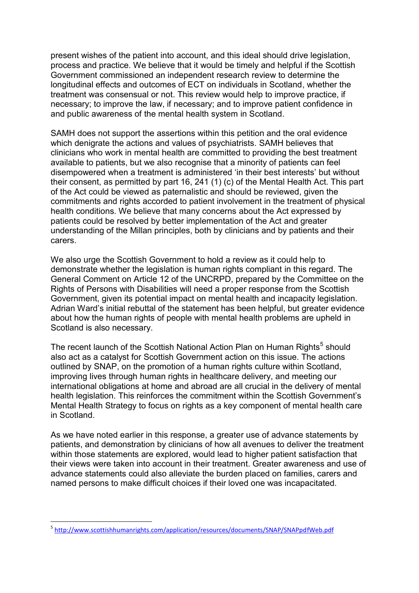present wishes of the patient into account, and this ideal should drive legislation, process and practice. We believe that it would be timely and helpful if the Scottish Government commissioned an independent research review to determine the longitudinal effects and outcomes of ECT on individuals in Scotland, whether the treatment was consensual or not. This review would help to improve practice, if necessary; to improve the law, if necessary; and to improve patient confidence in and public awareness of the mental health system in Scotland.

SAMH does not support the assertions within this petition and the oral evidence which denigrate the actions and values of psychiatrists. SAMH believes that clinicians who work in mental health are committed to providing the best treatment available to patients, but we also recognise that a minority of patients can feel disempowered when a treatment is administered 'in their best interests' but without their consent, as permitted by part 16, 241 (1) (c) of the Mental Health Act. This part of the Act could be viewed as paternalistic and should be reviewed, given the commitments and rights accorded to patient involvement in the treatment of physical health conditions. We believe that many concerns about the Act expressed by patients could be resolved by better implementation of the Act and greater understanding of the Millan principles, both by clinicians and by patients and their carers.

We also urge the Scottish Government to hold a review as it could help to demonstrate whether the legislation is human rights compliant in this regard. The General Comment on Article 12 of the UNCRPD, prepared by the Committee on the Rights of Persons with Disabilities will need a proper response from the Scottish Government, given its potential impact on mental health and incapacity legislation. Adrian Ward's initial rebuttal of the statement has been helpful, but greater evidence about how the human rights of people with mental health problems are upheld in Scotland is also necessary.

The recent launch of the Scottish National Action Plan on Human Rights<sup>5</sup> should also act as a catalyst for Scottish Government action on this issue. The actions outlined by SNAP, on the promotion of a human rights culture within Scotland, improving lives through human rights in healthcare delivery, and meeting our international obligations at home and abroad are all crucial in the delivery of mental health legislation. This reinforces the commitment within the Scottish Government's Mental Health Strategy to focus on rights as a key component of mental health care in Scotland.

As we have noted earlier in this response, a greater use of advance statements by patients, and demonstration by clinicians of how all avenues to deliver the treatment within those statements are explored, would lead to higher patient satisfaction that their views were taken into account in their treatment. Greater awareness and use of advance statements could also alleviate the burden placed on families, carers and named persons to make difficult choices if their loved one was incapacitated.

1

<sup>&</sup>lt;sup>5</sup> http://www.scottishhumanrights.com/application/resources/documents/SNAP/SNAPpdfWeb.pdf